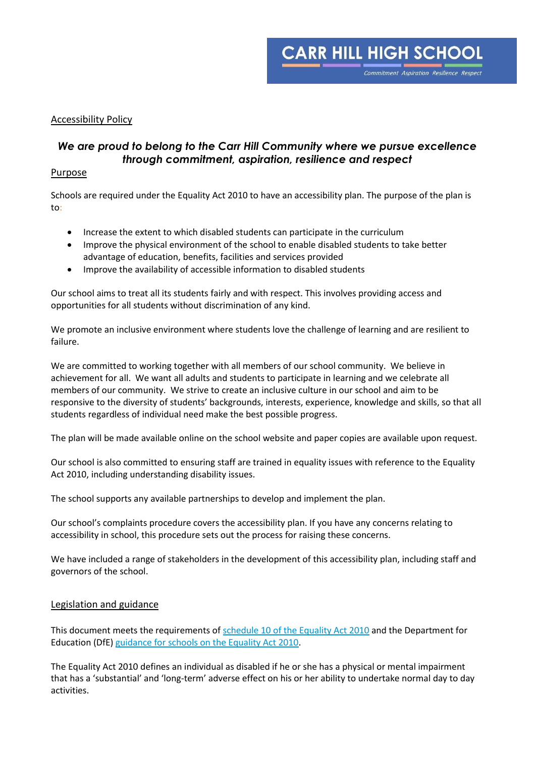### Accessibility Policy

# *We are proud to belong to the Carr Hill Community where we pursue excellence through commitment, aspiration, resilience and respect*

#### Purpose

Schools are required under the Equality Act 2010 to have an accessibility plan. The purpose of the plan is to:

- Increase the extent to which disabled students can participate in the curriculum
- Improve the physical environment of the school to enable disabled students to take better advantage of education, benefits, facilities and services provided
- Improve the availability of accessible information to disabled students

Our school aims to treat all its students fairly and with respect. This involves providing access and opportunities for all students without discrimination of any kind.

We promote an inclusive environment where students love the challenge of learning and are resilient to failure.

We are committed to working together with all members of our school community. We believe in achievement for all. We want all adults and students to participate in learning and we celebrate all members of our community. We strive to create an inclusive culture in our school and aim to be responsive to the diversity of students' backgrounds, interests, experience, knowledge and skills, so that all students regardless of individual need make the best possible progress.

The plan will be made available online on the school website and paper copies are available upon request.

Our school is also committed to ensuring staff are trained in equality issues with reference to the Equality Act 2010, including understanding disability issues.

The school supports any available partnerships to develop and implement the plan.

Our school's complaints procedure covers the accessibility plan. If you have any concerns relating to accessibility in school, this procedure sets out the process for raising these concerns.

We have included a range of stakeholders in the development of this accessibility plan, including staff and governors of the school.

### Legislation and guidance

This document meets the requirements of [schedule 10 of the Equality Act 2010](http://www.legislation.gov.uk/ukpga/2010/15/schedule/10) and the Department for Education (DfE[\) guidance for schools on the Equality Act 2010.](https://www.gov.uk/government/publications/equality-act-2010-advice-for-schools)

The Equality Act 2010 defines an individual as disabled if he or she has a physical or mental impairment that has a 'substantial' and 'long-term' adverse effect on his or her ability to undertake normal day to day activities.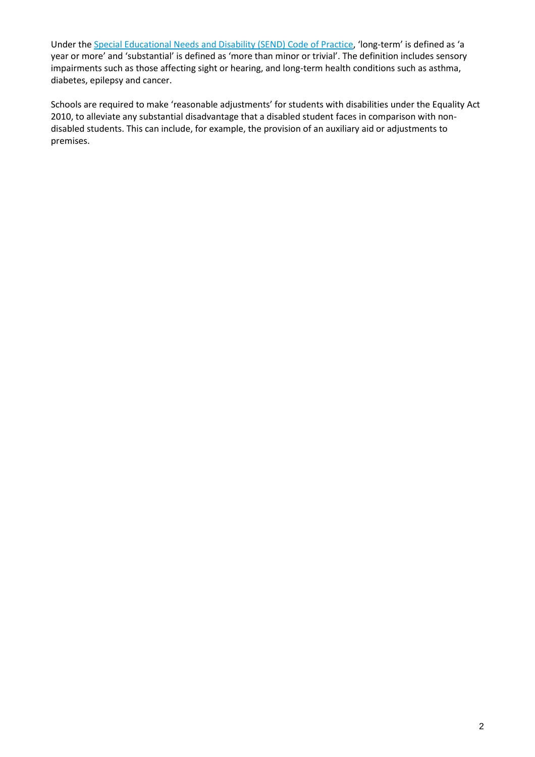Under th[e Special Educational Needs and Disability \(SEND\) Code of Practice](https://www.gov.uk/government/publications/send-code-of-practice-0-to-25), 'long-term' is defined as 'a year or more' and 'substantial' is defined as 'more than minor or trivial'. The definition includes sensory impairments such as those affecting sight or hearing, and long-term health conditions such as asthma, diabetes, epilepsy and cancer.

Schools are required to make 'reasonable adjustments' for students with disabilities under the Equality Act 2010, to alleviate any substantial disadvantage that a disabled student faces in comparison with nondisabled students. This can include, for example, the provision of an auxiliary aid or adjustments to premises.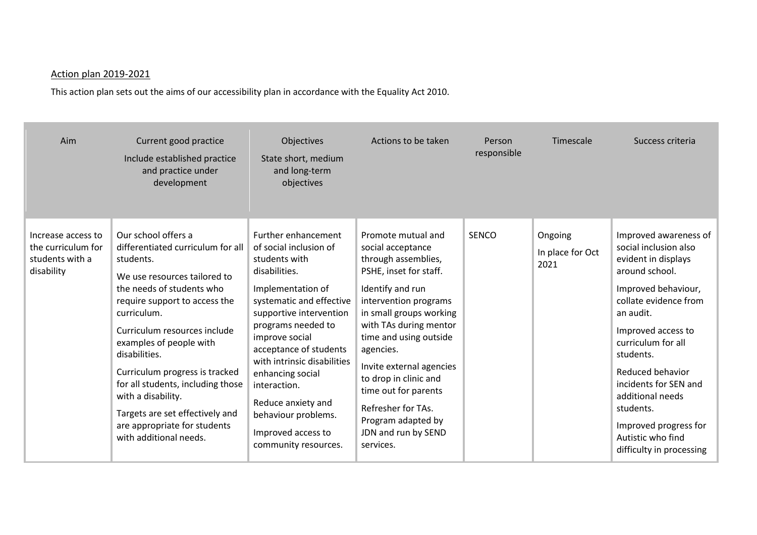# Action plan 2019-2021

This action plan sets out the aims of our accessibility plan in accordance with the Equality Act 2010.

| Aim                                                                       | Current good practice<br>Include established practice<br>and practice under<br>development                                                                                                                                                                                                                                                                                                                                                               | <b>Objectives</b><br>State short, medium<br>and long-term<br>objectives                                                                                                                                                                                                                                                                                                                     | Actions to be taken                                                                                                                                                                                                                                                                                                                                                                            | Person<br>responsible | Timescale                           | Success criteria                                                                                                                                                                                                                                                                                                                                                      |
|---------------------------------------------------------------------------|----------------------------------------------------------------------------------------------------------------------------------------------------------------------------------------------------------------------------------------------------------------------------------------------------------------------------------------------------------------------------------------------------------------------------------------------------------|---------------------------------------------------------------------------------------------------------------------------------------------------------------------------------------------------------------------------------------------------------------------------------------------------------------------------------------------------------------------------------------------|------------------------------------------------------------------------------------------------------------------------------------------------------------------------------------------------------------------------------------------------------------------------------------------------------------------------------------------------------------------------------------------------|-----------------------|-------------------------------------|-----------------------------------------------------------------------------------------------------------------------------------------------------------------------------------------------------------------------------------------------------------------------------------------------------------------------------------------------------------------------|
| Increase access to<br>the curriculum for<br>students with a<br>disability | Our school offers a<br>differentiated curriculum for all<br>students.<br>We use resources tailored to<br>the needs of students who<br>require support to access the<br>curriculum.<br>Curriculum resources include<br>examples of people with<br>disabilities.<br>Curriculum progress is tracked<br>for all students, including those<br>with a disability.<br>Targets are set effectively and<br>are appropriate for students<br>with additional needs. | Further enhancement<br>of social inclusion of<br>students with<br>disabilities.<br>Implementation of<br>systematic and effective<br>supportive intervention<br>programs needed to<br>improve social<br>acceptance of students<br>with intrinsic disabilities<br>enhancing social<br>interaction.<br>Reduce anxiety and<br>behaviour problems.<br>Improved access to<br>community resources. | Promote mutual and<br>social acceptance<br>through assemblies,<br>PSHE, inset for staff.<br>Identify and run<br>intervention programs<br>in small groups working<br>with TAs during mentor<br>time and using outside<br>agencies.<br>Invite external agencies<br>to drop in clinic and<br>time out for parents<br>Refresher for TAs.<br>Program adapted by<br>JDN and run by SEND<br>services. | <b>SENCO</b>          | Ongoing<br>In place for Oct<br>2021 | Improved awareness of<br>social inclusion also<br>evident in displays<br>around school.<br>Improved behaviour,<br>collate evidence from<br>an audit.<br>Improved access to<br>curriculum for all<br>students.<br>Reduced behavior<br>incidents for SEN and<br>additional needs<br>students.<br>Improved progress for<br>Autistic who find<br>difficulty in processing |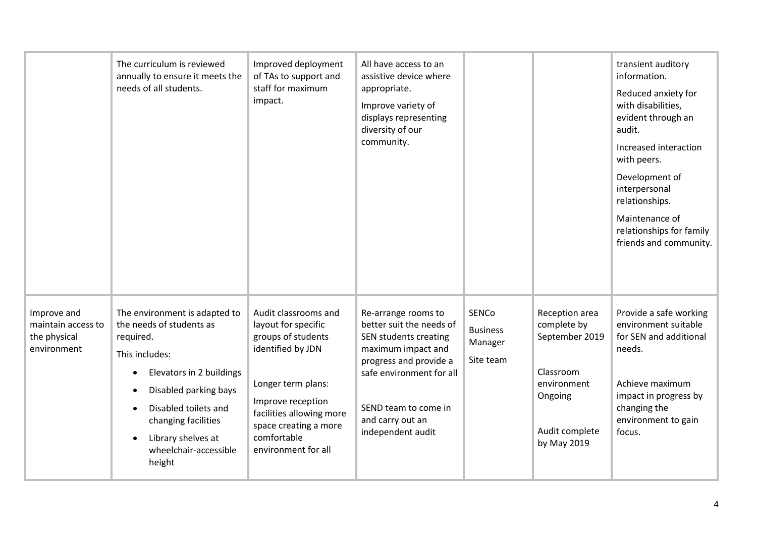|                                                                  | The curriculum is reviewed<br>annually to ensure it meets the<br>needs of all students.                                                                                                                                                                            | Improved deployment<br>of TAs to support and<br>staff for maximum<br>impact.                                                                                                                                                 | All have access to an<br>assistive device where<br>appropriate.<br>Improve variety of<br>displays representing<br>diversity of our<br>community.                                                                      |                                                         |                                                                                                                         | transient auditory<br>information.<br>Reduced anxiety for<br>with disabilities,<br>evident through an<br>audit.<br>Increased interaction<br>with peers.<br>Development of<br>interpersonal<br>relationships.<br>Maintenance of<br>relationships for family<br>friends and community. |
|------------------------------------------------------------------|--------------------------------------------------------------------------------------------------------------------------------------------------------------------------------------------------------------------------------------------------------------------|------------------------------------------------------------------------------------------------------------------------------------------------------------------------------------------------------------------------------|-----------------------------------------------------------------------------------------------------------------------------------------------------------------------------------------------------------------------|---------------------------------------------------------|-------------------------------------------------------------------------------------------------------------------------|--------------------------------------------------------------------------------------------------------------------------------------------------------------------------------------------------------------------------------------------------------------------------------------|
| Improve and<br>maintain access to<br>the physical<br>environment | The environment is adapted to<br>the needs of students as<br>required.<br>This includes:<br>Elevators in 2 buildings<br>Disabled parking bays<br>Disabled toilets and<br>changing facilities<br>Library shelves at<br>$\bullet$<br>wheelchair-accessible<br>height | Audit classrooms and<br>layout for specific<br>groups of students<br>identified by JDN<br>Longer term plans:<br>Improve reception<br>facilities allowing more<br>space creating a more<br>comfortable<br>environment for all | Re-arrange rooms to<br>better suit the needs of<br>SEN students creating<br>maximum impact and<br>progress and provide a<br>safe environment for all<br>SEND team to come in<br>and carry out an<br>independent audit | <b>SENCo</b><br><b>Business</b><br>Manager<br>Site team | Reception area<br>complete by<br>September 2019<br>Classroom<br>environment<br>Ongoing<br>Audit complete<br>by May 2019 | Provide a safe working<br>environment suitable<br>for SEN and additional<br>needs.<br>Achieve maximum<br>impact in progress by<br>changing the<br>environment to gain<br>focus.                                                                                                      |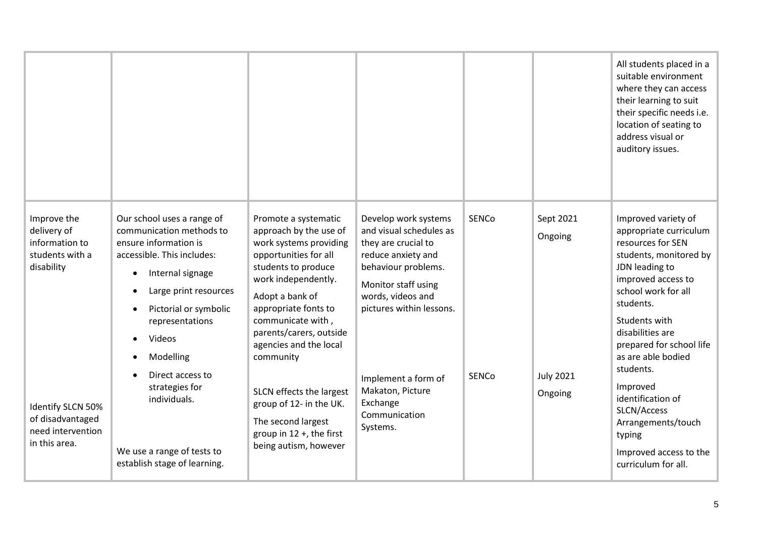|                                                                                                                                                              |                                                                                                                                                                                                                                                                                                                                                                |                                                                                                                                                                                                                                                                                                                                                                                                                        |                                                                                                                                                                                                                                                                                 |                              |                                                     | All students placed in a<br>suitable environment<br>where they can access<br>their learning to suit<br>their specific needs i.e.<br>location of seating to<br>address visual or<br>auditory issues.                                                                                                                                                                                                           |
|--------------------------------------------------------------------------------------------------------------------------------------------------------------|----------------------------------------------------------------------------------------------------------------------------------------------------------------------------------------------------------------------------------------------------------------------------------------------------------------------------------------------------------------|------------------------------------------------------------------------------------------------------------------------------------------------------------------------------------------------------------------------------------------------------------------------------------------------------------------------------------------------------------------------------------------------------------------------|---------------------------------------------------------------------------------------------------------------------------------------------------------------------------------------------------------------------------------------------------------------------------------|------------------------------|-----------------------------------------------------|---------------------------------------------------------------------------------------------------------------------------------------------------------------------------------------------------------------------------------------------------------------------------------------------------------------------------------------------------------------------------------------------------------------|
| Improve the<br>delivery of<br>information to<br>students with a<br>disability<br>Identify SLCN 50%<br>of disadvantaged<br>need intervention<br>in this area. | Our school uses a range of<br>communication methods to<br>ensure information is<br>accessible. This includes:<br>Internal signage<br>$\bullet$<br>Large print resources<br>Pictorial or symbolic<br>representations<br>Videos<br>Modelling<br>Direct access to<br>strategies for<br>individuals.<br>We use a range of tests to<br>establish stage of learning. | Promote a systematic<br>approach by the use of<br>work systems providing<br>opportunities for all<br>students to produce<br>work independently.<br>Adopt a bank of<br>appropriate fonts to<br>communicate with,<br>parents/carers, outside<br>agencies and the local<br>community<br>SLCN effects the largest<br>group of 12- in the UK.<br>The second largest<br>group in $12 +$ , the first<br>being autism, however | Develop work systems<br>and visual schedules as<br>they are crucial to<br>reduce anxiety and<br>behaviour problems.<br>Monitor staff using<br>words, videos and<br>pictures within lessons.<br>Implement a form of<br>Makaton, Picture<br>Exchange<br>Communication<br>Systems. | <b>SENCo</b><br><b>SENCo</b> | Sept 2021<br>Ongoing<br><b>July 2021</b><br>Ongoing | Improved variety of<br>appropriate curriculum<br>resources for SEN<br>students, monitored by<br>JDN leading to<br>improved access to<br>school work for all<br>students.<br>Students with<br>disabilities are<br>prepared for school life<br>as are able bodied<br>students.<br>Improved<br>identification of<br>SLCN/Access<br>Arrangements/touch<br>typing<br>Improved access to the<br>curriculum for all. |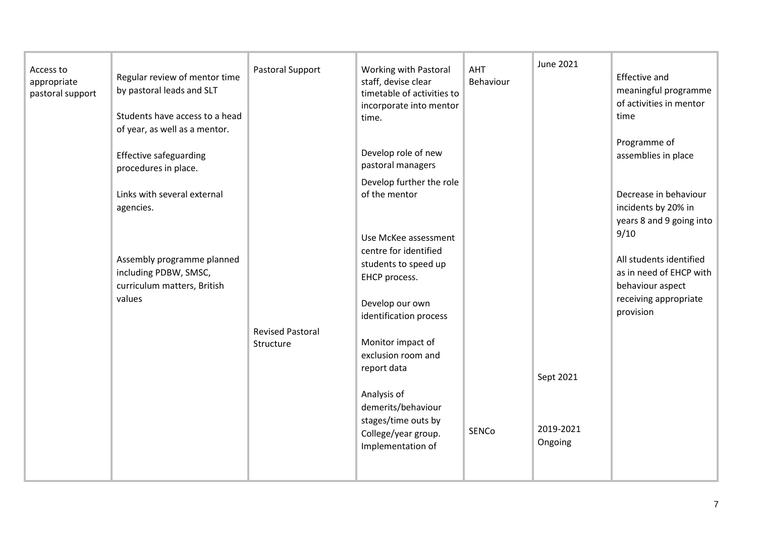| Access to<br>appropriate<br>pastoral support | Regular review of mentor time<br>by pastoral leads and SLT<br>Students have access to a head | Pastoral Support                     | Working with Pastoral<br>staff, devise clear<br>timetable of activities to<br>incorporate into mentor<br>time. | <b>AHT</b><br>Behaviour | June 2021            | <b>Effective and</b><br>meaningful programme<br>of activities in mentor<br>time                 |
|----------------------------------------------|----------------------------------------------------------------------------------------------|--------------------------------------|----------------------------------------------------------------------------------------------------------------|-------------------------|----------------------|-------------------------------------------------------------------------------------------------|
|                                              | of year, as well as a mentor.<br><b>Effective safeguarding</b><br>procedures in place.       |                                      | Develop role of new<br>pastoral managers<br>Develop further the role                                           |                         |                      | Programme of<br>assemblies in place                                                             |
|                                              | Links with several external<br>agencies.                                                     |                                      | of the mentor                                                                                                  |                         |                      | Decrease in behaviour<br>incidents by 20% in<br>years 8 and 9 going into<br>9/10                |
|                                              | Assembly programme planned<br>including PDBW, SMSC,<br>curriculum matters, British<br>values |                                      | Use McKee assessment<br>centre for identified<br>students to speed up<br>EHCP process.<br>Develop our own      |                         |                      | All students identified<br>as in need of EHCP with<br>behaviour aspect<br>receiving appropriate |
|                                              |                                                                                              | <b>Revised Pastoral</b><br>Structure | identification process<br>Monitor impact of<br>exclusion room and<br>report data                               |                         | Sept 2021            | provision                                                                                       |
|                                              |                                                                                              |                                      | Analysis of<br>demerits/behaviour<br>stages/time outs by<br>College/year group.<br>Implementation of           | <b>SENCo</b>            | 2019-2021<br>Ongoing |                                                                                                 |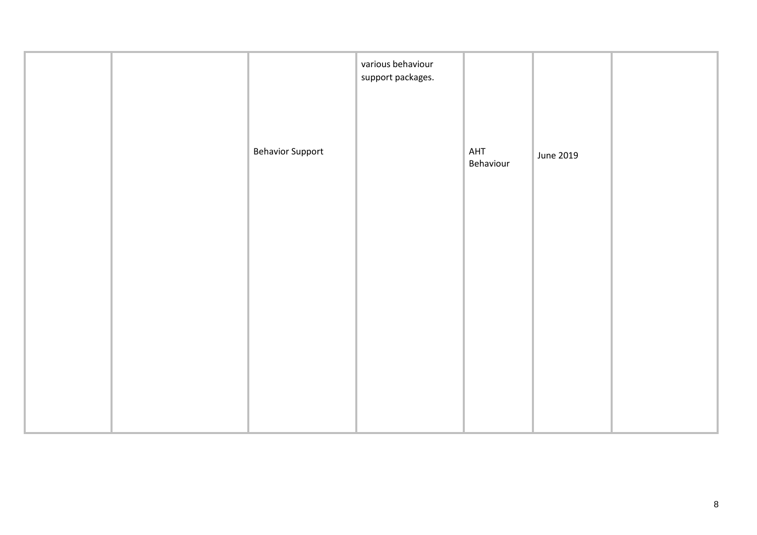|  | <b>Behavior Support</b> | various behaviour<br>support packages. | AHT<br>Behaviour | June 2019 |  |
|--|-------------------------|----------------------------------------|------------------|-----------|--|
|  |                         |                                        |                  |           |  |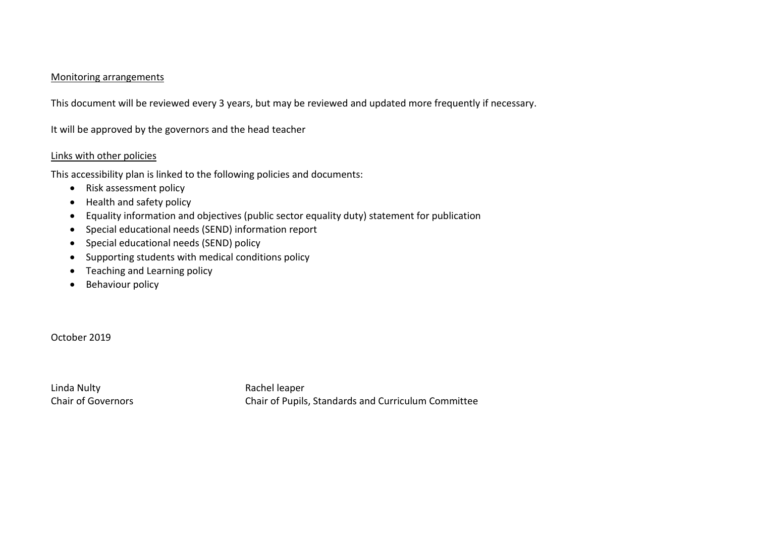#### Monitoring arrangements

This document will be reviewed every 3 years, but may be reviewed and updated more frequently if necessary.

It will be approved by the governors and the head teacher

#### Links with other policies

This accessibility plan is linked to the following policies and documents:

- Risk assessment policy
- Health and safety policy
- Equality information and objectives (public sector equality duty) statement for publication
- Special educational needs (SEND) information report
- Special educational needs (SEND) policy
- Supporting students with medical conditions policy
- Teaching and Learning policy
- Behaviour policy

October 2019

Linda Nulty **Rachel leaper** 

Chair of Governors Chair of Pupils, Standards and Curriculum Committee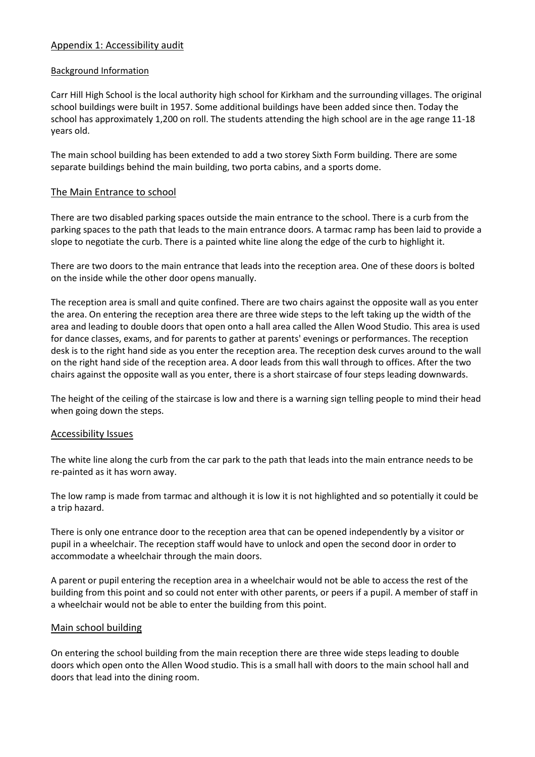# Appendix 1: Accessibility audit

#### Background Information

Carr Hill High School is the local authority high school for Kirkham and the surrounding villages. The original school buildings were built in 1957. Some additional buildings have been added since then. Today the school has approximately 1,200 on roll. The students attending the high school are in the age range 11-18 years old.

The main school building has been extended to add a two storey Sixth Form building. There are some separate buildings behind the main building, two porta cabins, and a sports dome.

### The Main Entrance to school

There are two disabled parking spaces outside the main entrance to the school. There is a curb from the parking spaces to the path that leads to the main entrance doors. A tarmac ramp has been laid to provide a slope to negotiate the curb. There is a painted white line along the edge of the curb to highlight it.

There are two doors to the main entrance that leads into the reception area. One of these doors is bolted on the inside while the other door opens manually.

The reception area is small and quite confined. There are two chairs against the opposite wall as you enter the area. On entering the reception area there are three wide steps to the left taking up the width of the area and leading to double doors that open onto a hall area called the Allen Wood Studio. This area is used for dance classes, exams, and for parents to gather at parents' evenings or performances. The reception desk is to the right hand side as you enter the reception area. The reception desk curves around to the wall on the right hand side of the reception area. A door leads from this wall through to offices. After the two chairs against the opposite wall as you enter, there is a short staircase of four steps leading downwards.

The height of the ceiling of the staircase is low and there is a warning sign telling people to mind their head when going down the steps.

### Accessibility Issues

The white line along the curb from the car park to the path that leads into the main entrance needs to be re-painted as it has worn away.

The low ramp is made from tarmac and although it is low it is not highlighted and so potentially it could be a trip hazard.

There is only one entrance door to the reception area that can be opened independently by a visitor or pupil in a wheelchair. The reception staff would have to unlock and open the second door in order to accommodate a wheelchair through the main doors.

A parent or pupil entering the reception area in a wheelchair would not be able to access the rest of the building from this point and so could not enter with other parents, or peers if a pupil. A member of staff in a wheelchair would not be able to enter the building from this point.

### Main school building

On entering the school building from the main reception there are three wide steps leading to double doors which open onto the Allen Wood studio. This is a small hall with doors to the main school hall and doors that lead into the dining room.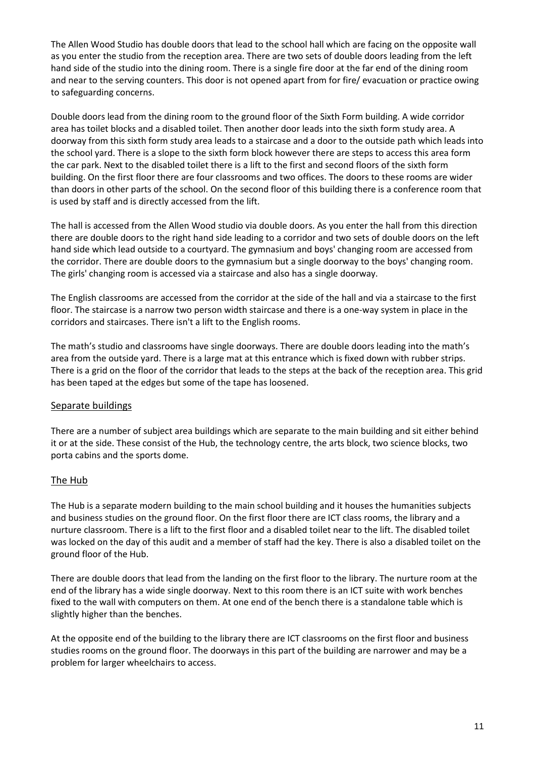The Allen Wood Studio has double doors that lead to the school hall which are facing on the opposite wall as you enter the studio from the reception area. There are two sets of double doors leading from the left hand side of the studio into the dining room. There is a single fire door at the far end of the dining room and near to the serving counters. This door is not opened apart from for fire/ evacuation or practice owing to safeguarding concerns.

Double doors lead from the dining room to the ground floor of the Sixth Form building. A wide corridor area has toilet blocks and a disabled toilet. Then another door leads into the sixth form study area. A doorway from this sixth form study area leads to a staircase and a door to the outside path which leads into the school yard. There is a slope to the sixth form block however there are steps to access this area form the car park. Next to the disabled toilet there is a lift to the first and second floors of the sixth form building. On the first floor there are four classrooms and two offices. The doors to these rooms are wider than doors in other parts of the school. On the second floor of this building there is a conference room that is used by staff and is directly accessed from the lift.

The hall is accessed from the Allen Wood studio via double doors. As you enter the hall from this direction there are double doors to the right hand side leading to a corridor and two sets of double doors on the left hand side which lead outside to a courtyard. The gymnasium and boys' changing room are accessed from the corridor. There are double doors to the gymnasium but a single doorway to the boys' changing room. The girls' changing room is accessed via a staircase and also has a single doorway.

The English classrooms are accessed from the corridor at the side of the hall and via a staircase to the first floor. The staircase is a narrow two person width staircase and there is a one-way system in place in the corridors and staircases. There isn't a lift to the English rooms.

The math's studio and classrooms have single doorways. There are double doors leading into the math's area from the outside yard. There is a large mat at this entrance which is fixed down with rubber strips. There is a grid on the floor of the corridor that leads to the steps at the back of the reception area. This grid has been taped at the edges but some of the tape has loosened.

### Separate buildings

There are a number of subject area buildings which are separate to the main building and sit either behind it or at the side. These consist of the Hub, the technology centre, the arts block, two science blocks, two porta cabins and the sports dome.

### The Hub

The Hub is a separate modern building to the main school building and it houses the humanities subjects and business studies on the ground floor. On the first floor there are ICT class rooms, the library and a nurture classroom. There is a lift to the first floor and a disabled toilet near to the lift. The disabled toilet was locked on the day of this audit and a member of staff had the key. There is also a disabled toilet on the ground floor of the Hub.

There are double doors that lead from the landing on the first floor to the library. The nurture room at the end of the library has a wide single doorway. Next to this room there is an ICT suite with work benches fixed to the wall with computers on them. At one end of the bench there is a standalone table which is slightly higher than the benches.

At the opposite end of the building to the library there are ICT classrooms on the first floor and business studies rooms on the ground floor. The doorways in this part of the building are narrower and may be a problem for larger wheelchairs to access.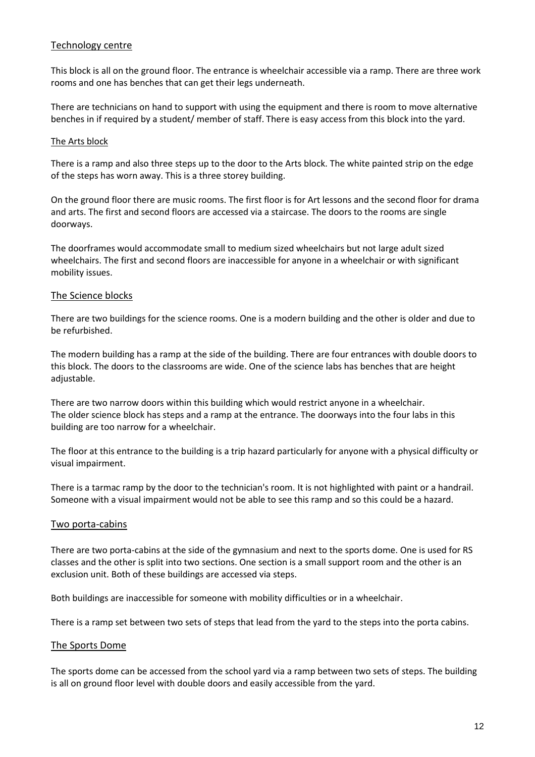## Technology centre

This block is all on the ground floor. The entrance is wheelchair accessible via a ramp. There are three work rooms and one has benches that can get their legs underneath.

There are technicians on hand to support with using the equipment and there is room to move alternative benches in if required by a student/ member of staff. There is easy access from this block into the yard.

#### The Arts block

There is a ramp and also three steps up to the door to the Arts block. The white painted strip on the edge of the steps has worn away. This is a three storey building.

On the ground floor there are music rooms. The first floor is for Art lessons and the second floor for drama and arts. The first and second floors are accessed via a staircase. The doors to the rooms are single doorways.

The doorframes would accommodate small to medium sized wheelchairs but not large adult sized wheelchairs. The first and second floors are inaccessible for anyone in a wheelchair or with significant mobility issues.

### The Science blocks

There are two buildings for the science rooms. One is a modern building and the other is older and due to be refurbished.

The modern building has a ramp at the side of the building. There are four entrances with double doors to this block. The doors to the classrooms are wide. One of the science labs has benches that are height adjustable.

There are two narrow doors within this building which would restrict anyone in a wheelchair. The older science block has steps and a ramp at the entrance. The doorways into the four labs in this building are too narrow for a wheelchair.

The floor at this entrance to the building is a trip hazard particularly for anyone with a physical difficulty or visual impairment.

There is a tarmac ramp by the door to the technician's room. It is not highlighted with paint or a handrail. Someone with a visual impairment would not be able to see this ramp and so this could be a hazard.

#### Two porta-cabins

There are two porta-cabins at the side of the gymnasium and next to the sports dome. One is used for RS classes and the other is split into two sections. One section is a small support room and the other is an exclusion unit. Both of these buildings are accessed via steps.

Both buildings are inaccessible for someone with mobility difficulties or in a wheelchair.

There is a ramp set between two sets of steps that lead from the yard to the steps into the porta cabins.

#### The Sports Dome

The sports dome can be accessed from the school yard via a ramp between two sets of steps. The building is all on ground floor level with double doors and easily accessible from the yard.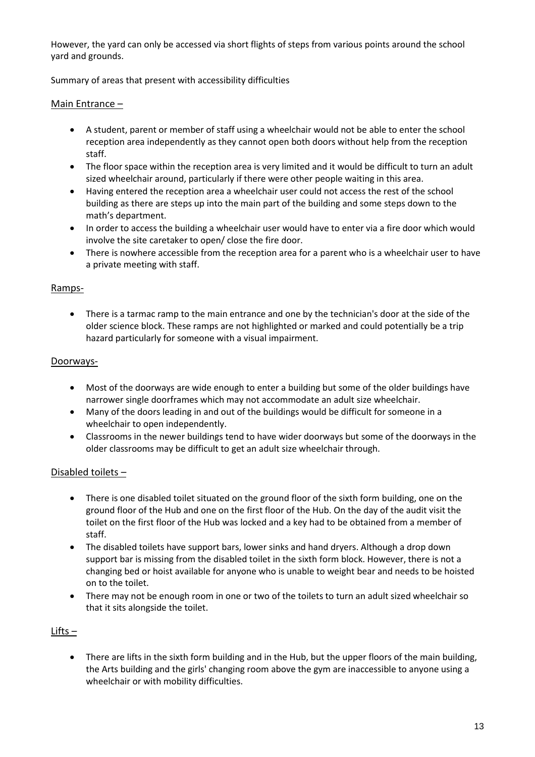However, the yard can only be accessed via short flights of steps from various points around the school yard and grounds.

Summary of areas that present with accessibility difficulties

# Main Entrance –

- A student, parent or member of staff using a wheelchair would not be able to enter the school reception area independently as they cannot open both doors without help from the reception staff.
- The floor space within the reception area is very limited and it would be difficult to turn an adult sized wheelchair around, particularly if there were other people waiting in this area.
- Having entered the reception area a wheelchair user could not access the rest of the school building as there are steps up into the main part of the building and some steps down to the math's department.
- In order to access the building a wheelchair user would have to enter via a fire door which would involve the site caretaker to open/ close the fire door.
- There is nowhere accessible from the reception area for a parent who is a wheelchair user to have a private meeting with staff.

### Ramps-

 There is a tarmac ramp to the main entrance and one by the technician's door at the side of the older science block. These ramps are not highlighted or marked and could potentially be a trip hazard particularly for someone with a visual impairment.

# Doorways-

- Most of the doorways are wide enough to enter a building but some of the older buildings have narrower single doorframes which may not accommodate an adult size wheelchair.
- Many of the doors leading in and out of the buildings would be difficult for someone in a wheelchair to open independently.
- Classrooms in the newer buildings tend to have wider doorways but some of the doorways in the older classrooms may be difficult to get an adult size wheelchair through.

### Disabled toilets –

- There is one disabled toilet situated on the ground floor of the sixth form building, one on the ground floor of the Hub and one on the first floor of the Hub. On the day of the audit visit the toilet on the first floor of the Hub was locked and a key had to be obtained from a member of staff.
- The disabled toilets have support bars, lower sinks and hand dryers. Although a drop down support bar is missing from the disabled toilet in the sixth form block. However, there is not a changing bed or hoist available for anyone who is unable to weight bear and needs to be hoisted on to the toilet.
- There may not be enough room in one or two of the toilets to turn an adult sized wheelchair so that it sits alongside the toilet.

### Lifts –

 There are lifts in the sixth form building and in the Hub, but the upper floors of the main building, the Arts building and the girls' changing room above the gym are inaccessible to anyone using a wheelchair or with mobility difficulties.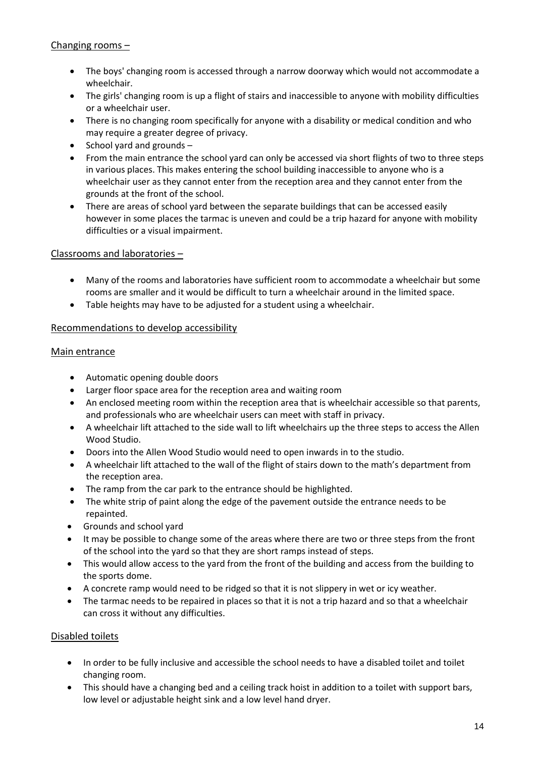# Changing rooms –

- The boys' changing room is accessed through a narrow doorway which would not accommodate a wheelchair.
- The girls' changing room is up a flight of stairs and inaccessible to anyone with mobility difficulties or a wheelchair user.
- There is no changing room specifically for anyone with a disability or medical condition and who may require a greater degree of privacy.
- School yard and grounds –
- From the main entrance the school yard can only be accessed via short flights of two to three steps in various places. This makes entering the school building inaccessible to anyone who is a wheelchair user as they cannot enter from the reception area and they cannot enter from the grounds at the front of the school.
- There are areas of school yard between the separate buildings that can be accessed easily however in some places the tarmac is uneven and could be a trip hazard for anyone with mobility difficulties or a visual impairment.

### Classrooms and laboratories –

- Many of the rooms and laboratories have sufficient room to accommodate a wheelchair but some rooms are smaller and it would be difficult to turn a wheelchair around in the limited space.
- Table heights may have to be adjusted for a student using a wheelchair.

### Recommendations to develop accessibility

#### Main entrance

- Automatic opening double doors
- Larger floor space area for the reception area and waiting room
- An enclosed meeting room within the reception area that is wheelchair accessible so that parents, and professionals who are wheelchair users can meet with staff in privacy.
- A wheelchair lift attached to the side wall to lift wheelchairs up the three steps to access the Allen Wood Studio.
- Doors into the Allen Wood Studio would need to open inwards in to the studio.
- A wheelchair lift attached to the wall of the flight of stairs down to the math's department from the reception area.
- The ramp from the car park to the entrance should be highlighted.
- The white strip of paint along the edge of the pavement outside the entrance needs to be repainted.
- Grounds and school yard
- It may be possible to change some of the areas where there are two or three steps from the front of the school into the yard so that they are short ramps instead of steps.
- This would allow access to the yard from the front of the building and access from the building to the sports dome.
- A concrete ramp would need to be ridged so that it is not slippery in wet or icy weather.
- The tarmac needs to be repaired in places so that it is not a trip hazard and so that a wheelchair can cross it without any difficulties.

### Disabled toilets

- In order to be fully inclusive and accessible the school needs to have a disabled toilet and toilet changing room.
- This should have a changing bed and a ceiling track hoist in addition to a toilet with support bars, low level or adjustable height sink and a low level hand dryer.